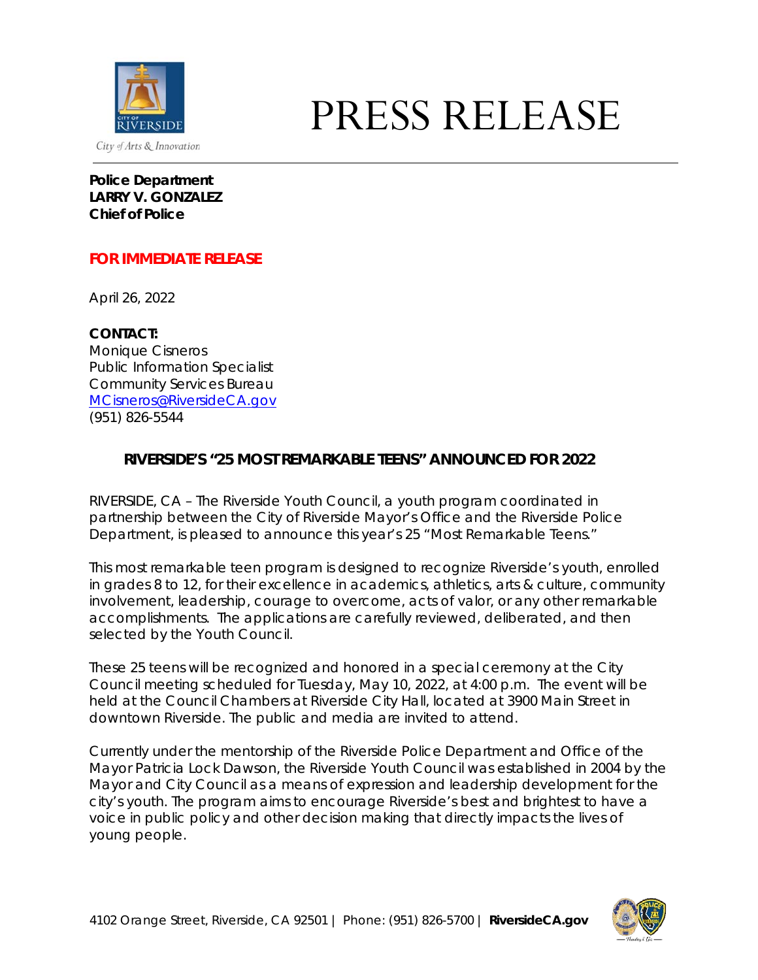

# PRESS RELEASE

**Police Department LARRY V. GONZALEZ Chief of Police**

## **FOR IMMEDIATE RELEASE**

April 26, 2022

**CONTACT:** Monique Cisneros Public Information Specialist Community Services Bureau [MCisneros@RiversideCA.gov](mailto:MCisneros@RiversideCA.gov) (951) 826-5544

# **RIVERSIDE'S "25 MOST REMARKABLE TEENS" ANNOUNCED FOR 2022**

RIVERSIDE, CA – The Riverside Youth Council, a youth program coordinated in partnership between the City of Riverside Mayor's Office and the Riverside Police Department, is pleased to announce this year's 25 "Most Remarkable Teens."

This most remarkable teen program is designed to recognize Riverside's youth, enrolled in grades 8 to 12, for their excellence in academics, athletics, arts & culture, community involvement, leadership, courage to overcome, acts of valor, or any other remarkable accomplishments. The applications are carefully reviewed, deliberated, and then selected by the Youth Council.

These 25 teens will be recognized and honored in a special ceremony at the City Council meeting scheduled for Tuesday, May 10, 2022, at 4:00 p.m. The event will be held at the Council Chambers at Riverside City Hall, located at 3900 Main Street in downtown Riverside. The public and media are invited to attend.

Currently under the mentorship of the Riverside Police Department and Office of the Mayor Patricia Lock Dawson, the Riverside Youth Council was established in 2004 by the Mayor and City Council as a means of expression and leadership development for the city's youth. The program aims to encourage Riverside's best and brightest to have a voice in public policy and other decision making that directly impacts the lives of young people.